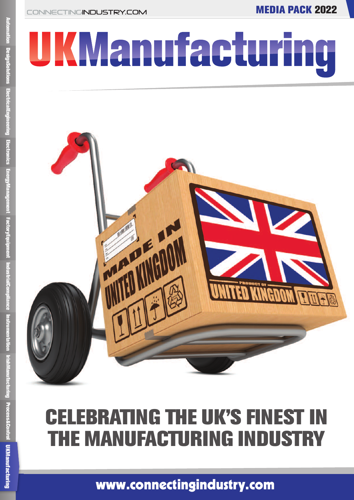**MEDIA PACK 2022** 

# UKManufacturing



# **CELEBRATING THE UK'S FINEST IN THE MANUFACTURING INDUSTRY**

www.connectingindustry.com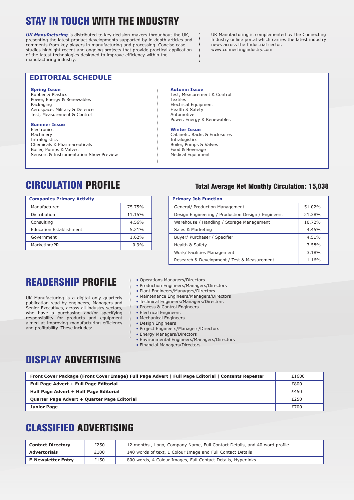# **STAY IN TOUCH WITH THE INDUSTRY**

*UK Manufacturing* is distributed to key decision-makers throughout the UK, presenting the latest product developments supported by in-depth articles and comments from key players in manufacturing and processing. Concise case studies highlight recent and ongoing projects that provide practical application of the latest technologies designed to improve efficiency within the manufacturing industry.

UK Manufacturing is complemented by the Connecting Industry online portal which carries the latest industry news across the Industrial sector. www.connectingindustry.com

#### **EDITORIAL SCHEDULE**

#### **Spring Issue**

Rubber & Plastics Power, Energy & Renewables Packaging Aerospace, Military & Defence Test, Measurement & Control

#### **Summer Issue**

Electronics Machinery **Intralogistics** Chemicals & Pharmaceuticals Boiler, Pumps & Valves Sensors & Instrumentation Show Preview

#### **Autumn Issue**

Test, Measurement & Control **Textiles** Electrical Equipment Health & Safety Automotive Power, Energy & Renewables

#### **Winter Issue**

Cabinets, Racks & Enclosures Intralogistics Boiler, Pumps & Valves Food & Beverage Medical Equipment

| <b>Companies Primary Activity</b> |        |  |  |
|-----------------------------------|--------|--|--|
| Manufacturer                      | 75.75% |  |  |
| Distribution                      | 11.15% |  |  |
| Consulting                        | 4.56%  |  |  |
| <b>Education Establishment</b>    | 5.21%  |  |  |
| Government                        | 1.62%  |  |  |
| Marketing/PR                      | 0.9%   |  |  |

#### **CIRCULATION PROFILE Total Average Net Monthly Circulation: 15,038**

| <b>Primary Job Function</b>                        |        |  |  |  |
|----------------------------------------------------|--------|--|--|--|
| General/ Production Management                     | 51.02% |  |  |  |
| Design Engineering / Production Design / Engineers | 21.38% |  |  |  |
| Warehouse / Handling / Storage Management          | 10.72% |  |  |  |
| Sales & Marketing                                  | 4.45%  |  |  |  |
| Buyer/ Purchaser / Specifier                       | 4.51%  |  |  |  |
| Health & Safety                                    | 3.58%  |  |  |  |
| Work/ Facilities Management                        | 3.18%  |  |  |  |
| Research & Development / Test & Measurement        | 1.16%  |  |  |  |

# **READERSHIP PROFILE**

UK Manufacturing is a digital only quarterly publication read by engineers, Managers and Senior Executives, across all industry sectors, who have a purchasing and/or specifying responsibility for products and equipment aimed at improving manufacturing efficiency and profitability. These includes:

- Operations Managers/Directors
- Production Engineers/Managers/Directors
- Plant Engineers/Managers/Directors
- Maintenance Engineers/Managers/Directors
- Technical Engineers/Managers/Directors
- Process & Control Engineers
- Electrical Engineers
- Mechanical Engineers
- Design Engineers
- Project Engineers/Managers/Directors
- Energy Managers/Directors
- Environmental Engineers/Managers/Directors
- Financial Managers/Directors

# **DISPLAY ADVERTISING**

| Front Cover Package (Front Cover Image) Full Page Advert   Full Page Editorial   Contents Repeater | £1600 |
|----------------------------------------------------------------------------------------------------|-------|
| Full Page Advert + Full Page Editorial                                                             | £800  |
| Half Page Advert + Half Page Editorial                                                             | £450  |
| Quarter Page Advert + Quarter Page Editorial                                                       | £250  |
| <b>Junior Page</b>                                                                                 | £700  |

### **CLASSIFIED ADVERTISING**

| <b>Contact Directory</b>  | £250 | 12 months, Logo, Company Name, Full Contact Details, and 40 word profile. |  |
|---------------------------|------|---------------------------------------------------------------------------|--|
| <b>Advertorials</b>       | £100 | 140 words of text, 1 Colour Image and Full Contact Details                |  |
| <b>E-Newsletter Entry</b> | £150 | 800 words, 4 Colour Images, Full Contact Details, Hyperlinks              |  |